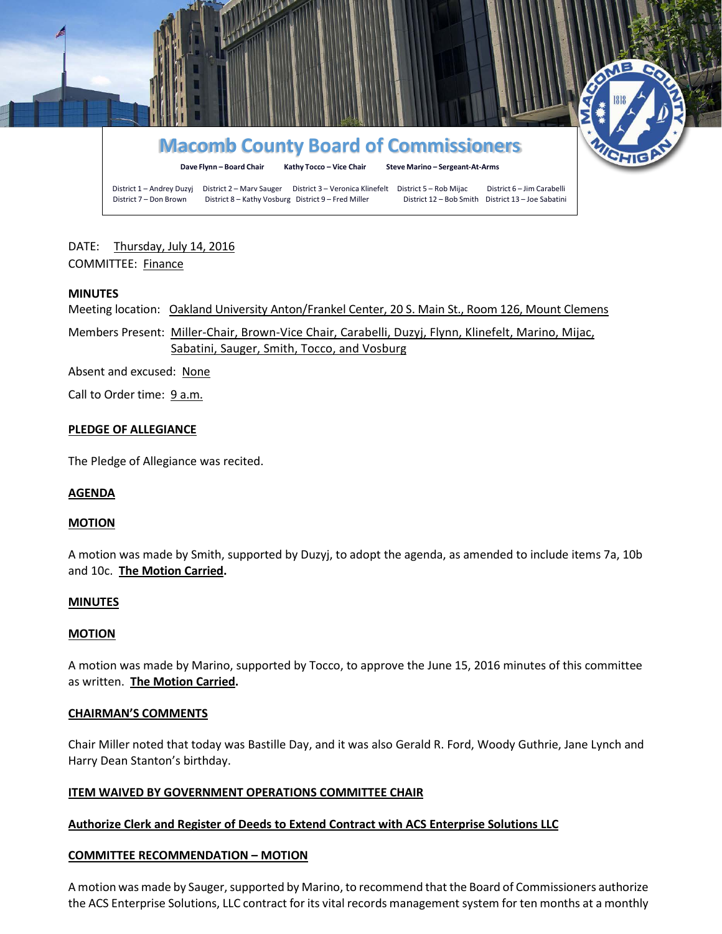

# DATE: Thursday, July 14, 2016 COMMITTEE: Finance

### **MINUTES**

Meeting location: Oakland University Anton/Frankel Center, 20 S. Main St., Room 126, Mount Clemens

Members Present: Miller-Chair, Brown-Vice Chair, Carabelli, Duzyj, Flynn, Klinefelt, Marino, Mijac, Sabatini, Sauger, Smith, Tocco, and Vosburg

Absent and excused: None

Call to Order time: 9 a.m.

### **PLEDGE OF ALLEGIANCE**

The Pledge of Allegiance was recited.

#### **AGENDA**

#### **MOTION**

A motion was made by Smith, supported by Duzyj, to adopt the agenda, as amended to include items 7a, 10b and 10c. **The Motion Carried.**

#### **MINUTES**

#### **MOTION**

A motion was made by Marino, supported by Tocco, to approve the June 15, 2016 minutes of this committee as written. **The Motion Carried.**

#### **CHAIRMAN'S COMMENTS**

Chair Miller noted that today was Bastille Day, and it was also Gerald R. Ford, Woody Guthrie, Jane Lynch and Harry Dean Stanton's birthday.

# **ITEM WAIVED BY GOVERNMENT OPERATIONS COMMITTEE CHAIR**

# **Authorize Clerk and Register of Deeds to Extend Contract with ACS Enterprise Solutions LLC**

# **COMMITTEE RECOMMENDATION – MOTION**

A motion was made by Sauger, supported by Marino, to recommend that the Board of Commissioners authorize the ACS Enterprise Solutions, LLC contract for its vital records management system for ten months at a monthly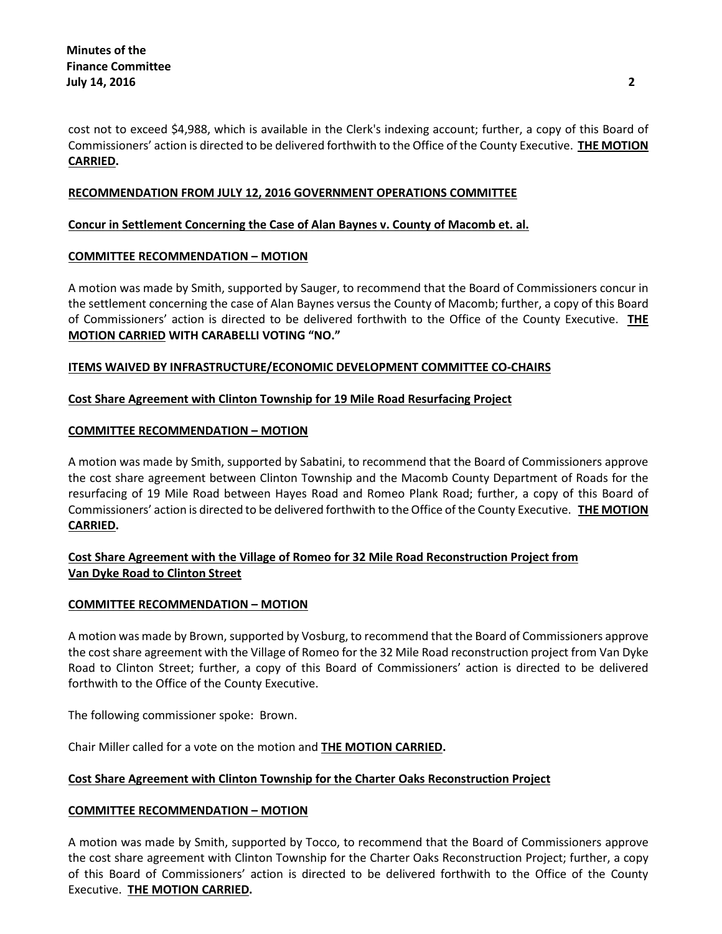cost not to exceed \$4,988, which is available in the Clerk's indexing account; further, a copy of this Board of Commissioners' action is directed to be delivered forthwith to the Office of the County Executive. **THE MOTION CARRIED.**

# **RECOMMENDATION FROM JULY 12, 2016 GOVERNMENT OPERATIONS COMMITTEE**

# **Concur in Settlement Concerning the Case of Alan Baynes v. County of Macomb et. al.**

### **COMMITTEE RECOMMENDATION – MOTION**

A motion was made by Smith, supported by Sauger, to recommend that the Board of Commissioners concur in the settlement concerning the case of Alan Baynes versus the County of Macomb; further, a copy of this Board of Commissioners' action is directed to be delivered forthwith to the Office of the County Executive. **THE MOTION CARRIED WITH CARABELLI VOTING "NO."**

### **ITEMS WAIVED BY INFRASTRUCTURE/ECONOMIC DEVELOPMENT COMMITTEE CO-CHAIRS**

### **Cost Share Agreement with Clinton Township for 19 Mile Road Resurfacing Project**

### **COMMITTEE RECOMMENDATION – MOTION**

A motion was made by Smith, supported by Sabatini, to recommend that the Board of Commissioners approve the cost share agreement between Clinton Township and the Macomb County Department of Roads for the resurfacing of 19 Mile Road between Hayes Road and Romeo Plank Road; further, a copy of this Board of Commissioners' action is directed to be delivered forthwith to the Office of the County Executive. **THE MOTION CARRIED.**

# **Cost Share Agreement with the Village of Romeo for 32 Mile Road Reconstruction Project from Van Dyke Road to Clinton Street**

# **COMMITTEE RECOMMENDATION – MOTION**

A motion was made by Brown, supported by Vosburg, to recommend that the Board of Commissioners approve the cost share agreement with the Village of Romeo for the 32 Mile Road reconstruction project from Van Dyke Road to Clinton Street; further, a copy of this Board of Commissioners' action is directed to be delivered forthwith to the Office of the County Executive.

The following commissioner spoke: Brown.

Chair Miller called for a vote on the motion and **THE MOTION CARRIED.**

# **Cost Share Agreement with Clinton Township for the Charter Oaks Reconstruction Project**

# **COMMITTEE RECOMMENDATION – MOTION**

A motion was made by Smith, supported by Tocco, to recommend that the Board of Commissioners approve the cost share agreement with Clinton Township for the Charter Oaks Reconstruction Project; further, a copy of this Board of Commissioners' action is directed to be delivered forthwith to the Office of the County Executive. **THE MOTION CARRIED.**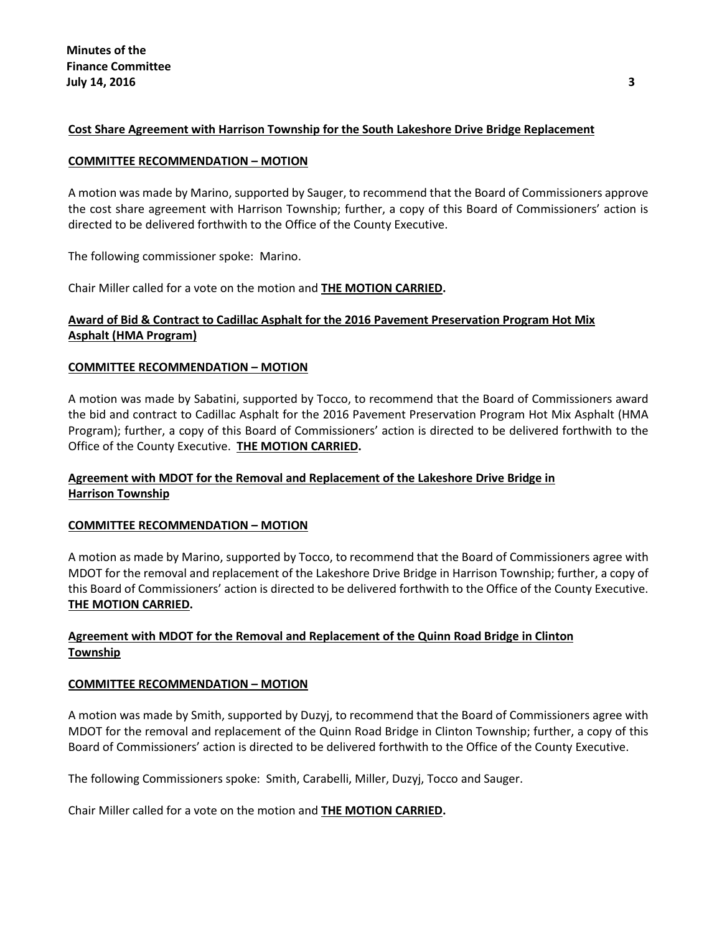# **Cost Share Agreement with Harrison Township for the South Lakeshore Drive Bridge Replacement**

#### **COMMITTEE RECOMMENDATION – MOTION**

A motion was made by Marino, supported by Sauger, to recommend that the Board of Commissioners approve the cost share agreement with Harrison Township; further, a copy of this Board of Commissioners' action is directed to be delivered forthwith to the Office of the County Executive.

The following commissioner spoke: Marino.

Chair Miller called for a vote on the motion and **THE MOTION CARRIED.**

# **Award of Bid & Contract to Cadillac Asphalt for the 2016 Pavement Preservation Program Hot Mix Asphalt (HMA Program)**

### **COMMITTEE RECOMMENDATION – MOTION**

A motion was made by Sabatini, supported by Tocco, to recommend that the Board of Commissioners award the bid and contract to Cadillac Asphalt for the 2016 Pavement Preservation Program Hot Mix Asphalt (HMA Program); further, a copy of this Board of Commissioners' action is directed to be delivered forthwith to the Office of the County Executive. **THE MOTION CARRIED.**

# **Agreement with MDOT for the Removal and Replacement of the Lakeshore Drive Bridge in Harrison Township**

#### **COMMITTEE RECOMMENDATION – MOTION**

A motion as made by Marino, supported by Tocco, to recommend that the Board of Commissioners agree with MDOT for the removal and replacement of the Lakeshore Drive Bridge in Harrison Township; further, a copy of this Board of Commissioners' action is directed to be delivered forthwith to the Office of the County Executive. **THE MOTION CARRIED.**

# **Agreement with MDOT for the Removal and Replacement of the Quinn Road Bridge in Clinton Township**

# **COMMITTEE RECOMMENDATION – MOTION**

A motion was made by Smith, supported by Duzyj, to recommend that the Board of Commissioners agree with MDOT for the removal and replacement of the Quinn Road Bridge in Clinton Township; further, a copy of this Board of Commissioners' action is directed to be delivered forthwith to the Office of the County Executive.

The following Commissioners spoke: Smith, Carabelli, Miller, Duzyj, Tocco and Sauger.

Chair Miller called for a vote on the motion and **THE MOTION CARRIED.**